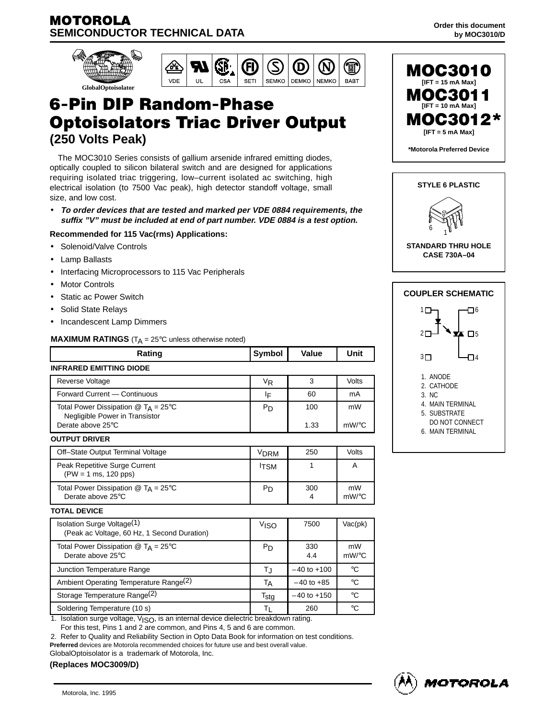



# **6-Pin DIP Random-Phase Optoisolators Triac Driver Output (250 Volts Peak)**

The MOC3010 Series consists of gallium arsenide infrared emitting diodes, optically coupled to silicon bilateral switch and are designed for applications requiring isolated triac triggering, low–current isolated ac switching, high electrical isolation (to 7500 Vac peak), high detector standoff voltage, small size, and low cost.

• **To order devices that are tested and marked per VDE 0884 requirements, the suffix "V" must be included at end of part number. VDE 0884 is a test option.**

#### **Recommended for 115 Vac(rms) Applications:**

- Solenoid/Valve Controls
- Lamp Ballasts
- Interfacing Microprocessors to 115 Vac Peripherals
- **Motor Controls**
- Static ac Power Switch
- Solid State Relays
- Incandescent Lamp Dimmers

#### **MAXIMUM RATINGS**  $(T_A = 25^\circ \text{C}$  unless otherwise noted)

| Rating                                                                               | Symbol           | <b>Value</b>    | Unit         |  |  |  |  |
|--------------------------------------------------------------------------------------|------------------|-----------------|--------------|--|--|--|--|
| <b>INFRARED EMITTING DIODE</b>                                                       |                  |                 |              |  |  |  |  |
| <b>Reverse Voltage</b>                                                               | $V_{R}$          | 3               | Volts        |  |  |  |  |
| Forward Current - Continuous                                                         | ١F               | 60              | mA           |  |  |  |  |
| Total Power Dissipation $@$ T <sub>A</sub> = 25°C<br>Negligible Power in Transistor  | P <sub>D</sub>   | 100             | mW           |  |  |  |  |
| Derate above 25°C                                                                    |                  | 1.33            | $mW$ /°C     |  |  |  |  |
| <b>OUTPUT DRIVER</b>                                                                 |                  |                 |              |  |  |  |  |
| Off-State Output Terminal Voltage                                                    | <b>VDRM</b>      | 250             | <b>Volts</b> |  |  |  |  |
| Peak Repetitive Surge Current<br>$(PW = 1$ ms, 120 pps)                              | <b>ITSM</b>      | 1               | A            |  |  |  |  |
| Total Power Dissipation $\textcircled{a}$ T <sub>A</sub> = 25°C<br>Derate above 25°C | $P_D$            | 300<br>4        | mW<br>mW/°C  |  |  |  |  |
| <b>TOTAL DEVICE</b>                                                                  |                  |                 |              |  |  |  |  |
| Isolation Surge Voltage(1)<br>(Peak ac Voltage, 60 Hz, 1 Second Duration)            | V <sub>ISO</sub> | 7500            | Vac(pk)      |  |  |  |  |
| Total Power Dissipation $\textcircled{a}$ T <sub>A</sub> = 25°C<br>Derate above 25°C | P <sub>D</sub>   | 330<br>4.4      | mW<br>mW/°C  |  |  |  |  |
| Junction Temperature Range                                                           | T,j              | $-40$ to $+100$ | °C           |  |  |  |  |
| Ambient Operating Temperature Range(2)                                               | Tд               | $-40$ to $+85$  | °C           |  |  |  |  |
| Storage Temperature Range <sup>(2)</sup>                                             | $T_{\text{stg}}$ | $-40$ to $+150$ | °C           |  |  |  |  |
| Soldering Temperature (10 s)                                                         | ΤL               | 260             | °C           |  |  |  |  |

1. Isolation surge voltage, V<sub>ISO</sub>, is an internal device dielectric breakdown rating. For this test, Pins 1 and 2 are common, and Pins 4, 5 and 6 are common.

2. Refer to Quality and Reliability Section in Opto Data Book for information on test conditions.

**Preferred** devices are Motorola recommended choices for future use and best overall value.

GlobalOptoisolator is a trademark of Motorola, Inc.





**Order this document**



**CASE 730A–04**



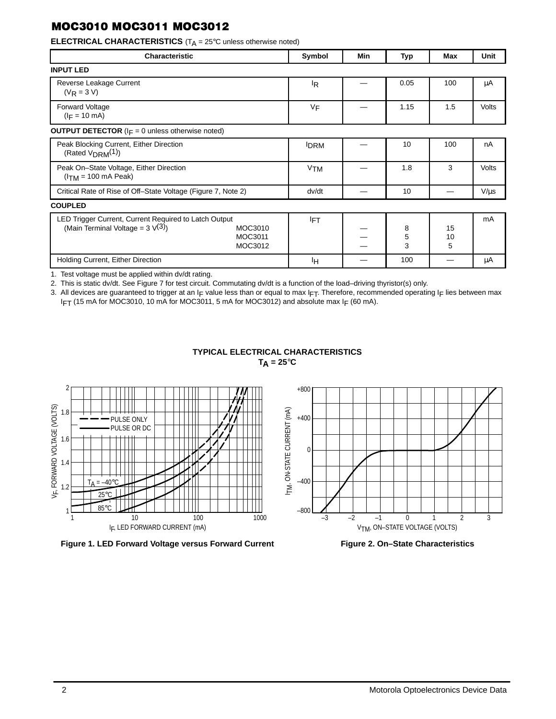**ELECTRICAL CHARACTERISTICS** (T<sub>A</sub> = 25°C unless otherwise noted)

| Characteristic                                                                                                                    | Symbol                | Min | Typ         | Max           | Unit      |
|-----------------------------------------------------------------------------------------------------------------------------------|-----------------------|-----|-------------|---------------|-----------|
| <b>INPUT LED</b>                                                                                                                  |                       |     |             |               |           |
| Reverse Leakage Current<br>$(V_R = 3 V)$                                                                                          | ΙŖ                    |     | 0.05        | 100           | μA        |
| Forward Voltage<br>$(I_F = 10 \text{ mA})$                                                                                        | VF                    |     | 1.15        | 1.5           | Volts     |
| <b>OUTPUT DETECTOR</b> ( $I_F = 0$ unless otherwise noted)                                                                        |                       |     |             |               |           |
| Peak Blocking Current, Either Direction<br>(Rated $V_{DRM}(1)$ )                                                                  | <b>IDRM</b>           |     | 10          | 100           | nA        |
| Peak On-State Voltage, Either Direction<br>$(ITM = 100 mA Peak)$                                                                  | <b>V<sub>TM</sub></b> |     | 1.8         | 3             | Volts     |
| Critical Rate of Rise of Off-State Voltage (Figure 7, Note 2)                                                                     | dv/dt                 |     | 10          |               | $V/\mu s$ |
| <b>COUPLED</b>                                                                                                                    |                       |     |             |               |           |
| LED Trigger Current, Current Required to Latch Output<br>(Main Terminal Voltage = $3 \sqrt{3}$ )<br>MOC3010<br>MOC3011<br>MOC3012 | <b>IFT</b>            |     | 8<br>5<br>3 | 15<br>10<br>5 | mA        |
| Holding Current, Either Direction                                                                                                 | Iн                    |     | 100         |               | μA        |

1. Test voltage must be applied within dv/dt rating.

2. This is static dv/dt. See Figure 7 for test circuit. Commutating dv/dt is a function of the load–driving thyristor(s) only.

3. All devices are guaranteed to trigger at an IF value less than or equal to max IFT. Therefore, recommended operating IF lies between max IFT (15 mA for MOC3010, 10 mA for MOC3011, 5 mA for MOC3012) and absolute max IF (60 mA).

> **TYPICAL ELECTRICAL CHARACTERISTICS**  $T_A = 25^\circ C$







**Figure 2. On–State Characteristics**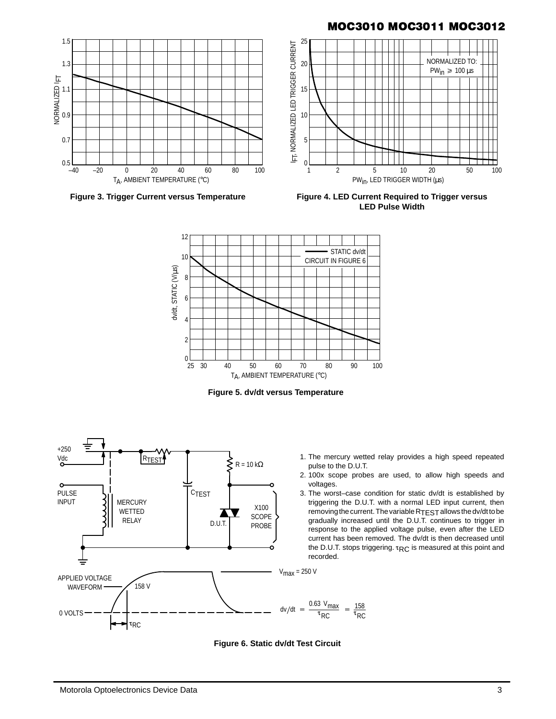

**Figure 3. Trigger Current versus Temperature**

**Figure 4. LED Current Required to Trigger versus LED Pulse Width**



**Figure 5. dv/dt versus Temperature**





- 2. 100x scope probes are used, to allow high speeds and voltages.
- 3. The worst–case condition for static dv/dt is established by triggering the D.U.T. with a normal LED input current, then removing the current. The variable R<sub>TEST</sub> allows the dv/dt to be gradually increased until the D.U.T. continues to trigger in response to the applied voltage pulse, even after the LED current has been removed. The dv/dt is then decreased until the D.U.T. stops triggering.  $\tau_{RC}$  is measured at this point and recorded.



100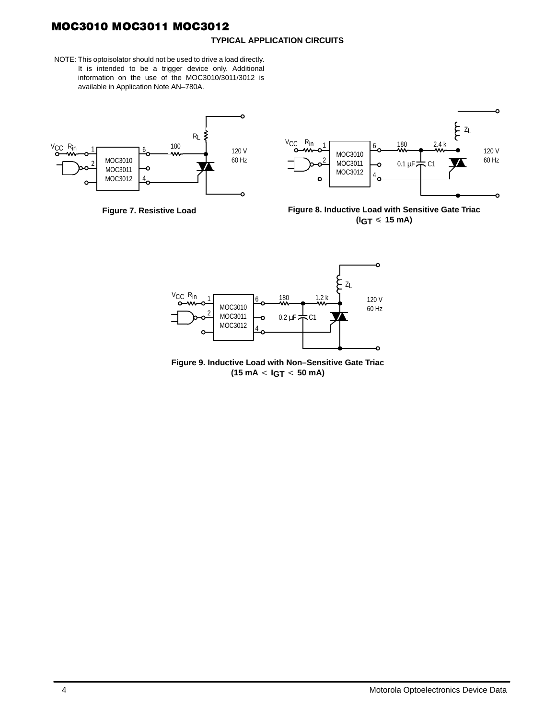#### **TYPICAL APPLICATION CIRCUITS**

NOTE: This optoisolator should not be used to drive a load directly. It is intended to be a trigger device only. Additional information on the use of the MOC3010/3011/3012 is available in Application Note AN–780A.









**Figure 9. Inductive Load with Non–Sensitive Gate Triac**  $(15 \text{ mA} < \text{IGT} < 50 \text{ mA})$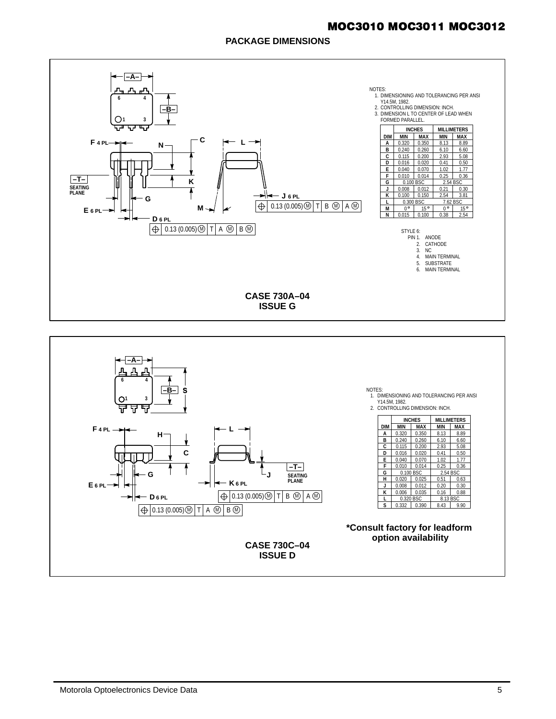### **PACKAGE DIMENSIONS**